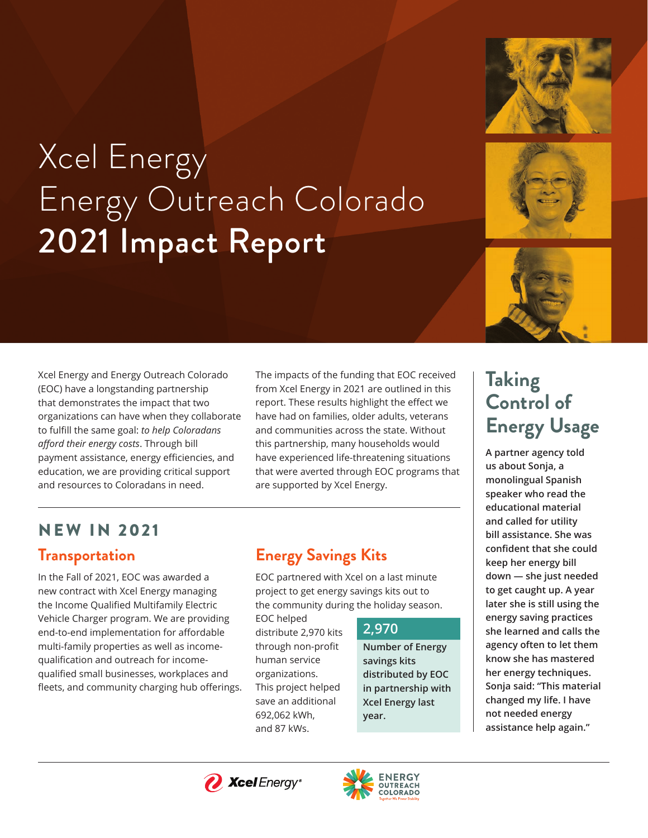

# Xcel Energy Energy Outreach Colorado 2021 Impact Report



Xcel Energy and Energy Outreach Colorado (EOC) have a longstanding partnership that demonstrates the impact that two organizations can have when they collaborate to fulfill the same goal: *to help Coloradans afford their energy costs*. Through bill payment assistance, energy efficiencies, and education, we are providing critical support and resources to Coloradans in need.

The impacts of the funding that EOC received from Xcel Energy in 2021 are outlined in this report. These results highlight the effect we have had on families, older adults, veterans and communities across the state. Without this partnership, many households would have experienced life-threatening situations that were averted through EOC programs that are supported by Xcel Energy.

# **Transportation**  NEW IN 2021

In the Fall of 2021, EOC was awarded a new contract with Xcel Energy managing the Income Qualified Multifamily Electric Vehicle Charger program. We are providing end-to-end implementation for affordable multi-family properties as well as incomequalification and outreach for incomequalified small businesses, workplaces and fleets, and community charging hub offerings.

### **Energy Savings Kits**

EOC partnered with Xcel on a last minute project to get energy savings kits out to the community during the holiday season.

EOC helped distribute 2,970 kits through non-profit human service organizations. This project helped save an additional 692,062 kWh, and 87 kWs.

#### **2,970**

**Number of Energy savings kits distributed by EOC in partnership with Xcel Energy last year.** 

# **Taking Control of Energy Usage**

**A partner agency told us about Sonja, a monolingual Spanish speaker who read the educational material and called for utility bill assistance. She was confident that she could keep her energy bill down — she just needed to get caught up. A year later she is still using the energy saving practices she learned and calls the agency often to let them know she has mastered her energy techniques. Sonja said: "This material changed my life. I have not needed energy assistance help again."**



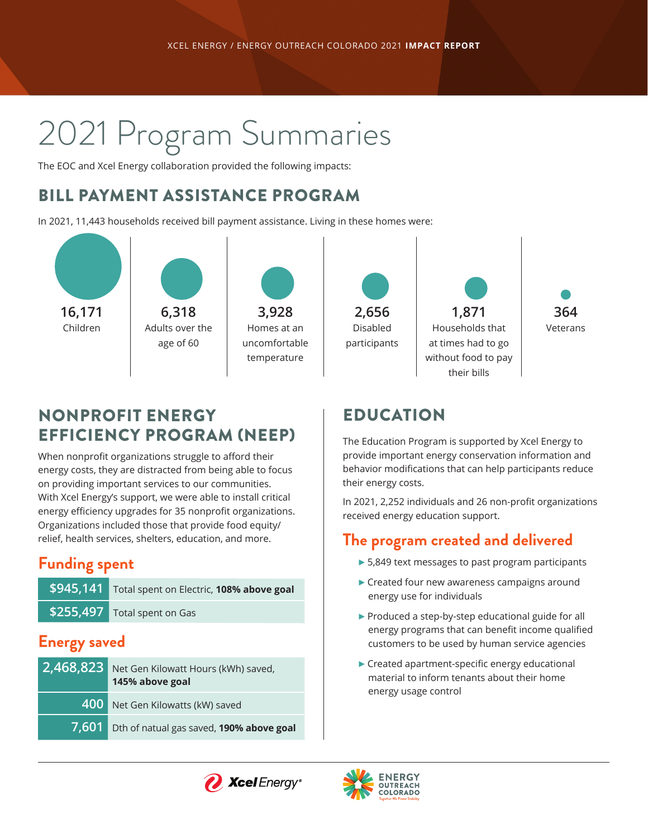# 2021 Program Summaries

The EOC and Xcel Energy collaboration provided the following impacts:

#### BILL PAYMENT ASSISTANCE PROGRAM

In 2021, 11,443 households received bill payment assistance. Living in these homes were:



### NONPROFIT ENERGY EFFICIENCY PROGRAM (NEEP)

When nonprofit organizations struggle to afford their energy costs, they are distracted from being able to focus on providing important services to our communities. With Xcel Energy's support, we were able to install critical energy efficiency upgrades for 35 nonprofit organizations. Organizations included those that provide food equity/ relief, health services, shelters, education, and more.

#### **Funding spent**

| \$945,141 Total spent on Electric, 108% above goal |
|----------------------------------------------------|
| $$255,497$ Total spent on Gas                      |

#### **Energy saved**

| 2,468,823 Net Gen Kilowatt Hours (kWh) saved,<br>145% above goal |
|------------------------------------------------------------------|
| 400 Net Gen Kilowatts (kW) saved                                 |
| 7,601 Dth of natual gas saved, 190% above goal                   |

### EDUCATION

The Education Program is supported by Xcel Energy to provide important energy conservation information and behavior modifications that can help participants reduce their energy costs.

In 2021, 2,252 individuals and 26 non-profit organizations received energy education support.

#### **The program created and delivered**

- $\triangleright$  5,849 text messages to past program participants
- $\blacktriangleright$  Created four new awareness campaigns around energy use for individuals
- $\blacktriangleright$  Produced a step-by-step educational guide for all energy programs that can benefit income qualified customers to be used by human service agencies
- $\blacktriangleright$  Created apartment-specific energy educational material to inform tenants about their home energy usage control



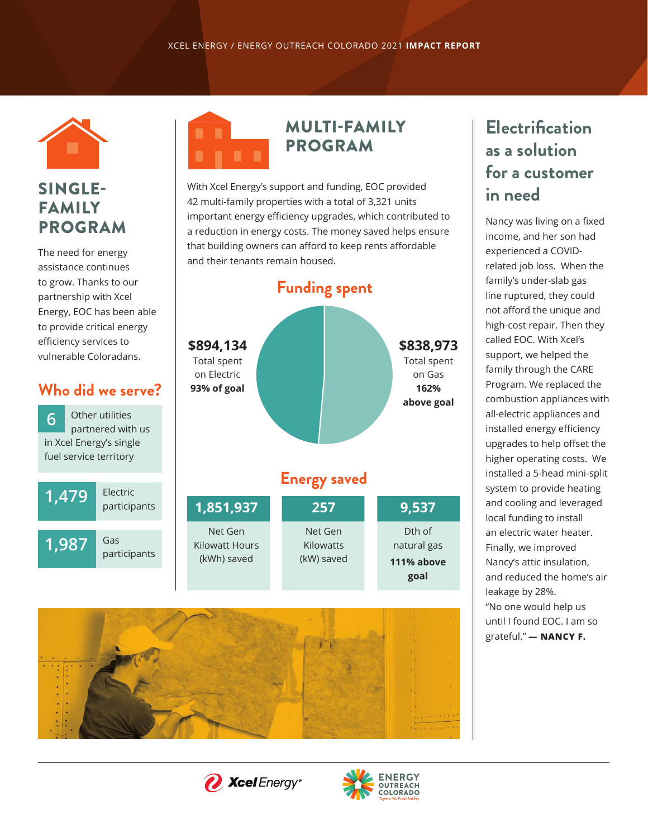

#### SINGLE-FAMILY PROGRAM

The need for energy assistance continues to grow. Thanks to our partnership with Xcel Energy, EOC has been able to provide critical energy efficiency services to vulnerable Coloradans.

#### **Who did we serve?**

Other utilities partnered with us in Xcel Energy's single fuel service territory **6**

**1,479** 

**1,987** 

Electric participants

Gas

participants

# MULTI-FAMILY PROGRAM

With Xcel Energy's support and funding, EOC provided 42 multi-family properties with a total of 3,321 units important energy efficiency upgrades, which contributed to a reduction in energy costs. The money saved helps ensure that building owners can afford to keep rents affordable and their tenants remain housed.





# *<i>N* Xcel Energy®



## **Electrification as a solution for a customer in need**

Nancy was living on a fixed income, and her son had experienced a COVIDrelated job loss. When the family's under-slab gas line ruptured, they could not afford the unique and high-cost repair. Then they called EOC. With Xcel's support, we helped the family through the CARE Program. We replaced the combustion appliances with all-electric appliances and installed energy efficiency upgrades to help offset the higher operating costs. We installed a 5-head mini-split system to provide heating and cooling and leveraged local funding to install an electric water heater. Finally, we improved Nancy's attic insulation, and reduced the home's air leakage by 28%. "No one would help us until I found EOC. I am so grateful." **— NANCY F.**